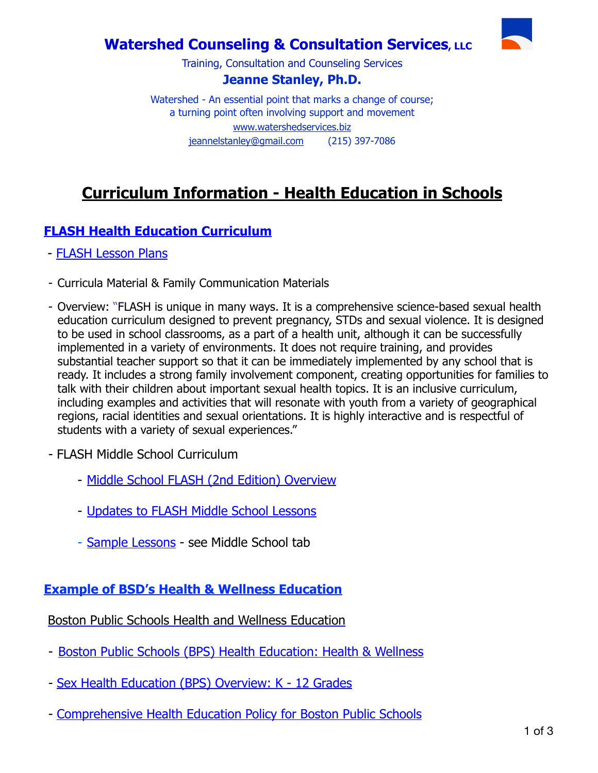## **Watershed Counseling & Consultation Services, LLC**



Training, Consultation and Counseling Services

#### **Jeanne Stanley, Ph.D.**

Watershed - An essential point that marks a change of course; a turning point often involving support and movement [www.watershedservices.biz](http://www.watershedservices.biz)  [jeannelstanley@gmail.com](mailto:jeannelstanley@gmail.com) (215) 397-7086

# **Curriculum Information - Health Education in Schools**

### **[FLASH Health Education Curriculum](https://www.etr.org/flash/)**

- [FLASH Lesson Plans](https://www.kingcounty.gov/depts/health/locations/family-planning/education/FLASH.aspx)
- Curricula Material & Family Communication Materials
- Overview: "FLASH is unique in many ways. It is a comprehensive science-based sexual health education curriculum designed to prevent pregnancy, STDs and sexual violence. It is designed to be used in school classrooms, as a part of a health unit, although it can be successfully implemented in a variety of environments. It does not require training, and provides substantial teacher support so that it can be immediately implemented by any school that is ready. It includes a strong family involvement component, creating opportunities for families to talk with their children about important sexual health topics. It is an inclusive curriculum, including examples and activities that will resonate with youth from a variety of geographical regions, racial identities and sexual orientations. It is highly interactive and is respectful of students with a variety of sexual experiences."
- FLASH Middle School Curriculum
	- [Middle School FLASH \(2nd Edition\) Overview](http://www.waprepforhealthyyouth.org/downloads/MSFLASH.pdf)
	- [Updates to FLASH Middle School Lessons](https://www.etr.org/flash/about-flash/whats-new/)
	- [Sample Lessons](https://www.etr.org/flash/about-flash/sample-lessons/) see Middle School tab

### **Example of BSD's Health & Wellness Education**

[Boston Public Schools Health and Wellness Education](https://www.bostonpublicschools.org/hwd)

- [Boston Public Schools \(BPS\) Health Education: Health & Wellness](https://www.bostonpublicschools.org/Page/6436)
- - [Sex Health Education \(BPS\) Overview: K 12 Grades](https://www.bostonpublicschools.org/Page/6440)
- - [Comprehensive Health Education Policy for Boston Public Schools](https://drive.google.com/file/d/1c9vHjmVVCg7oQ1Vk1jV52VaTXGoy2Uc-/view)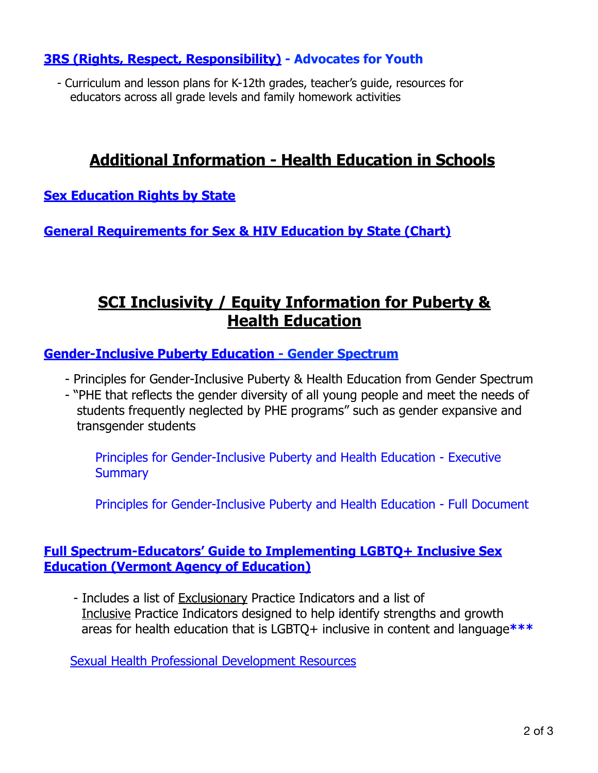### **[3RS \(Rights, Respect, Responsibility\)](https://3rs.org/3rs-curriculum/) - Advocates for Youth**

 - Curriculum and lesson plans for K-12th grades, teacher's guide, resources for educators across all grade levels and family homework activities

# **Additional Information - Health Education in Schools**

**[Sex Education Rights by State](https://sexetc.org/states/alaska)**

**[General Requirements for Sex & HIV Education by State \(Chart\)](https://www.guttmacher.org/state-policy/explore/sex-and-hiv-education)**

# **SCI Inclusivity / Equity Information for Puberty & Health Education**

**[Gender-Inclusive Puberty Education](https://www.genderspectrum.org/blog/gender-inclusive-puberty-and-health-education/) - Gender Spectrum**

- Principles for Gender-Inclusive Puberty & Health Education from Gender Spectrum
- "PHE that reflects the gender diversity of all young people and meet the needs of students frequently neglected by PHE programs" such as gender expansive and transgender students

[Principles for Gender-Inclusive Puberty and Health Education - Executive](https://gender-spectrum.cdn.prismic.io/gender-spectrum/9ab3b6f1-314f-4e09-89d8-d5d8adc6511a_genderspectrum_2019_report_web_final.pdf)  **[Summary](https://gender-spectrum.cdn.prismic.io/gender-spectrum/9ab3b6f1-314f-4e09-89d8-d5d8adc6511a_genderspectrum_2019_report_web_final.pdf)** 

[Principles for Gender-Inclusive Puberty and Health Education - Full Document](https://www.genderspectrum.org/staging/wp-content/uploads/2019/02/GenderSpectrum_2019_report_WEB_final.pdf)

#### **[Full Spectrum-Educators' Guide to Implementing LGBTQ+ Inclusive Sex](http://contentmanager.med.uvm.edu/docs/edu-full-spectrum-educators-guide-to-implementing-lgbtq_-inclusive-sex-ed_(1)/vchip-documents/edu-full-spectrum-educators-guide-to-implementing-lgbtq_-inclusive-sex-ed_(1).pdf?sfvrsn=2)  [Education \(Vermont Agency of Education\)](http://contentmanager.med.uvm.edu/docs/edu-full-spectrum-educators-guide-to-implementing-lgbtq_-inclusive-sex-ed_(1)/vchip-documents/edu-full-spectrum-educators-guide-to-implementing-lgbtq_-inclusive-sex-ed_(1).pdf?sfvrsn=2)**

 - Includes a list of Exclusionary Practice Indicators and a list of Inclusive Practice Indicators designed to help identify strengths and growth areas for health education that is LGBTQ+ inclusive in content and language**[\\*\\*\\*](http://contentmanager.med.uvm.edu/docs/edu-full-spectrum-educators-guide-to-implementing-lgbtq_-inclusive-sex-ed_(1)/vchip-documents/edu-full-spectrum-educators-guide-to-implementing-lgbtq_-inclusive-sex-ed_(1).pdf?sfvrsn=2)**

[Sexual Health Professional Development Resources](https://education.vermont.gov/sites/aoe/files/documents/edu-sexual-health-professional-development-resources.pdf)